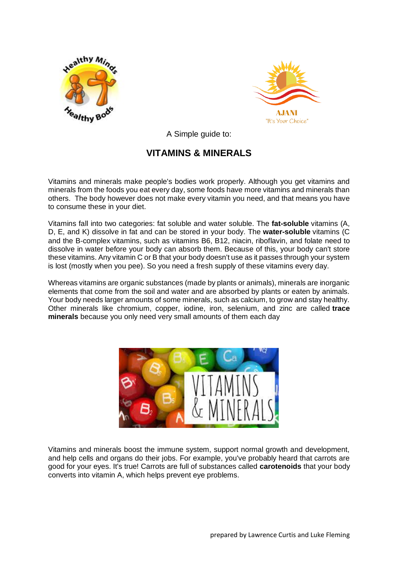



A Simple guide to:

## **VITAMINS & MINERALS**

Vitamins and minerals make people's bodies work properly. Although you get vitamins and minerals from the foods you eat every day, some foods have more vitamins and minerals than others. The body however does not make every vitamin you need, and that means you have to consume these in your diet.

Vitamins fall into two categories: fat soluble and water soluble. The **fat-soluble** vitamins (A, D, E, and K) dissolve in fat and can be stored in your body. The **water-soluble** vitamins (C and the B-complex vitamins, such as vitamins B6, B12, niacin, riboflavin, and folate need to dissolve in water before your body can absorb them. Because of this, your body can't store these vitamins. Any vitamin C or B that your body doesn't use as it passes through your system is lost (mostly when you pee). So you need a fresh supply of these vitamins every day.

Whereas vitamins are organic substances (made by plants or animals), minerals are inorganic elements that come from the soil and water and are absorbed by plants or eaten by animals. Your body needs larger amounts of some minerals, such as calcium, to grow and stay healthy. Other minerals like chromium, copper, iodine, iron, selenium, and zinc are called **trace minerals** because you only need very small amounts of them each day



Vitamins and minerals boost the immune system, support normal growth and development, and help cells and organs do their jobs. For example, you've probably heard that carrots are good for your eyes. It's true! Carrots are full of substances called **carotenoids** that your body converts into vitamin A, which helps prevent eye problems.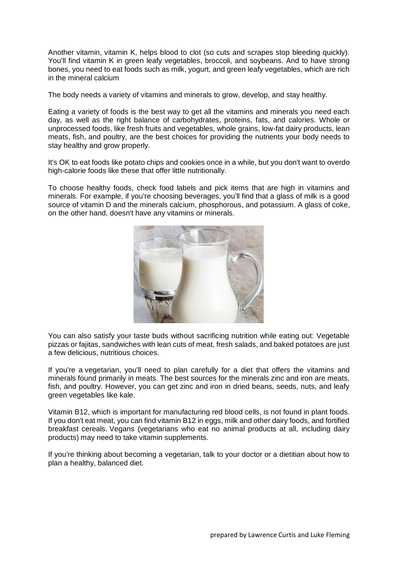Another vitamin, vitamin K, helps blood to clot (so cuts and scrapes stop bleeding quickly). You'll find vitamin K in green leafy vegetables, broccoli, and soybeans. And to have strong bones, you need to eat foods such as milk, yogurt, and green leafy vegetables, which are rich in the mineral calcium

The body needs a variety of vitamins and minerals to grow, develop, and stay healthy.

Eating a variety of foods is the best way to get all the vitamins and minerals you need each day, as well as the right balance of carbohydrates, proteins, fats, and calories. Whole or unprocessed foods, like fresh fruits and vegetables, whole grains, low-fat dairy products, lean meats, fish, and poultry, are the best choices for providing the nutrients your body needs to stay healthy and grow properly.

It's OK to eat foods like potato chips and cookies once in a while, but you don't want to overdo high-calorie foods like these that offer little nutritionally.

To choose healthy foods, check food labels and pick items that are high in vitamins and minerals. For example, if you're choosing beverages, you'll find that a glass of milk is a good source of vitamin D and the minerals calcium, phosphorous, and potassium. A glass of coke, on the other hand, doesn't have any vitamins or minerals.



You can also satisfy your taste buds without sacrificing nutrition while eating out: Vegetable pizzas or fajitas, sandwiches with lean cuts of meat, fresh salads, and baked potatoes are just a few delicious, nutritious choices.

If you're a vegetarian, you'll need to plan carefully for a diet that offers the vitamins and minerals found primarily in meats. The best sources for the minerals zinc and iron are meats, fish, and poultry. However, you can get zinc and iron in dried beans, seeds, nuts, and leafy green vegetables like kale.

Vitamin B12, which is important for manufacturing red blood cells, is not found in plant foods. If you don't eat meat, you can find vitamin B12 in eggs, milk and other dairy foods, and fortified breakfast cereals. Vegans (vegetarians who eat no animal products at all, including dairy products) may need to take vitamin supplements.

If you're thinking about becoming a vegetarian, talk to your doctor or a dietitian about how to plan a healthy, balanced diet.